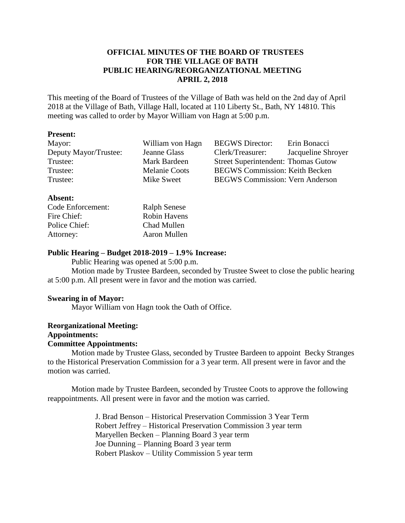# **OFFICIAL MINUTES OF THE BOARD OF TRUSTEES FOR THE VILLAGE OF BATH PUBLIC HEARING/REORGANIZATIONAL MEETING APRIL 2, 2018**

This meeting of the Board of Trustees of the Village of Bath was held on the 2nd day of April 2018 at the Village of Bath, Village Hall, located at 110 Liberty St., Bath, NY 14810. This meeting was called to order by Mayor William von Hagn at 5:00 p.m.

## **Present:**

| Mayor:                | William von Hagn     | <b>BEGWS</b> Director:                     | Erin Bonacci       |
|-----------------------|----------------------|--------------------------------------------|--------------------|
| Deputy Mayor/Trustee: | Jeanne Glass         | Clerk/Treasurer:                           | Jacqueline Shroyer |
| Trustee:              | Mark Bardeen         | <b>Street Superintendent: Thomas Gutow</b> |                    |
| Trustee:              | <b>Melanie Coots</b> | <b>BEGWS Commission: Keith Becken</b>      |                    |
| Trustee:              | Mike Sweet           | <b>BEGWS Commission: Vern Anderson</b>     |                    |
|                       |                      |                                            |                    |

## **Absent:**

| Code Enforcement: | <b>Ralph Senese</b> |
|-------------------|---------------------|
| Fire Chief:       | <b>Robin Havens</b> |
| Police Chief:     | Chad Mullen         |
| Attorney:         | Aaron Mullen        |

# **Public Hearing – Budget 2018-2019 – 1.9% Increase:**

Public Hearing was opened at 5:00 p.m.

Motion made by Trustee Bardeen, seconded by Trustee Sweet to close the public hearing at 5:00 p.m. All present were in favor and the motion was carried.

# **Swearing in of Mayor:**

Mayor William von Hagn took the Oath of Office.

#### **Reorganizational Meeting: Appointments:**

# **Committee Appointments:**

Motion made by Trustee Glass, seconded by Trustee Bardeen to appoint Becky Stranges to the Historical Preservation Commission for a 3 year term. All present were in favor and the motion was carried.

Motion made by Trustee Bardeen, seconded by Trustee Coots to approve the following reappointments. All present were in favor and the motion was carried.

> J. Brad Benson – Historical Preservation Commission 3 Year Term Robert Jeffrey – Historical Preservation Commission 3 year term Maryellen Becken – Planning Board 3 year term Joe Dunning – Planning Board 3 year term Robert Plaskov – Utility Commission 5 year term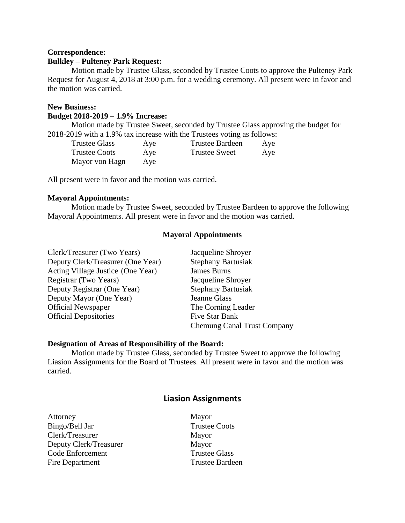## **Correspondence: Bulkley – Pulteney Park Request:**

Motion made by Trustee Glass, seconded by Trustee Coots to approve the Pulteney Park Request for August 4, 2018 at 3:00 p.m. for a wedding ceremony. All present were in favor and the motion was carried.

## **New Business:**

#### **Budget 2018-2019 – 1.9% Increase:**

Motion made by Trustee Sweet, seconded by Trustee Glass approving the budget for 2018-2019 with a 1.9% tax increase with the Trustees voting as follows:

| <b>Trustee Glass</b> | Aye | <b>Trustee Bardeen</b> | Aye |
|----------------------|-----|------------------------|-----|
| <b>Trustee Coots</b> | Aye | Trustee Sweet          | Aye |
| Mayor von Hagn       | Aye |                        |     |

All present were in favor and the motion was carried.

## **Mayoral Appointments:**

Motion made by Trustee Sweet, seconded by Trustee Bardeen to approve the following Mayoral Appointments. All present were in favor and the motion was carried.

## **Mayoral Appointments**

| Clerk/Treasurer (Two Years)       | Jacqueline Shroyer                 |
|-----------------------------------|------------------------------------|
| Deputy Clerk/Treasurer (One Year) | <b>Stephany Bartusiak</b>          |
| Acting Village Justice (One Year) | <b>James Burns</b>                 |
| Registrar (Two Years)             | Jacqueline Shroyer                 |
| Deputy Registrar (One Year)       | <b>Stephany Bartusiak</b>          |
| Deputy Mayor (One Year)           | Jeanne Glass                       |
| <b>Official Newspaper</b>         | The Corning Leader                 |
| <b>Official Depositories</b>      | Five Star Bank                     |
|                                   | <b>Chemung Canal Trust Company</b> |

#### **Designation of Areas of Responsibility of the Board:**

Motion made by Trustee Glass, seconded by Trustee Sweet to approve the following Liasion Assignments for the Board of Trustees. All present were in favor and the motion was carried.

# **Liasion Assignments**

| Attorney                |
|-------------------------|
| Bingo/Bell Jar          |
| Clerk/Treasurer         |
| Deputy Clerk/Treasurer  |
| <b>Code Enforcement</b> |
| Fire Department         |

Mayor **Trustee Coots** Mayor Mayor **Trustee Glass** Trustee Bardeen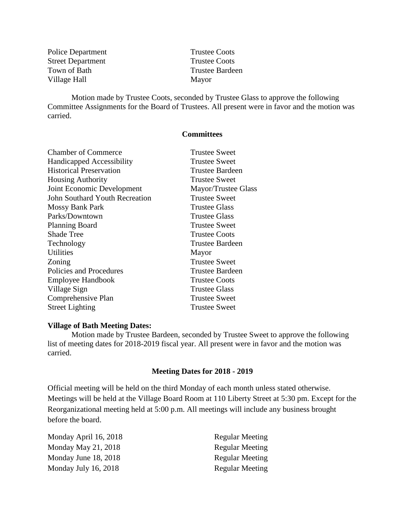| <b>Police Department</b> |
|--------------------------|
| <b>Street Department</b> |
| Town of Bath             |
| Village Hall             |

**Trustee Coots** Trustee Coots Trustee Bardeen Mayor

Motion made by Trustee Coots, seconded by Trustee Glass to approve the following Committee Assignments for the Board of Trustees. All present were in favor and the motion was carried.

## **Committees**

| <b>Chamber of Commerce</b>            | <b>Trustee Sweet</b>   |
|---------------------------------------|------------------------|
| <b>Handicapped Accessibility</b>      | Trustee Sweet          |
| <b>Historical Preservation</b>        | Trustee Bardeen        |
| <b>Housing Authority</b>              | <b>Trustee Sweet</b>   |
| Joint Economic Development            | Mayor/Trustee Glass    |
| <b>John Southard Youth Recreation</b> | <b>Trustee Sweet</b>   |
| <b>Mossy Bank Park</b>                | <b>Trustee Glass</b>   |
| Parks/Downtown                        | <b>Trustee Glass</b>   |
| <b>Planning Board</b>                 | Trustee Sweet          |
| <b>Shade Tree</b>                     | <b>Trustee Coots</b>   |
| Technology                            | Trustee Bardeen        |
| Utilities                             | Mayor                  |
| Zoning                                | <b>Trustee Sweet</b>   |
| Policies and Procedures               | <b>Trustee Bardeen</b> |
| Employee Handbook                     | <b>Trustee Coots</b>   |
| Village Sign                          | Trustee Glass          |
| Comprehensive Plan                    | <b>Trustee Sweet</b>   |
| <b>Street Lighting</b>                | <b>Trustee Sweet</b>   |
|                                       |                        |

## **Village of Bath Meeting Dates:**

Motion made by Trustee Bardeen, seconded by Trustee Sweet to approve the following list of meeting dates for 2018-2019 fiscal year. All present were in favor and the motion was carried.

#### **Meeting Dates for 2018 - 2019**

Official meeting will be held on the third Monday of each month unless stated otherwise. Meetings will be held at the Village Board Room at 110 Liberty Street at 5:30 pm. Except for the Reorganizational meeting held at 5:00 p.m. All meetings will include any business brought before the board.

Monday April 16, 2018 Regular Meeting Monday May 21, 2018 Regular Meeting Monday June 18, 2018 Regular Meeting Monday July 16, 2018 Regular Meeting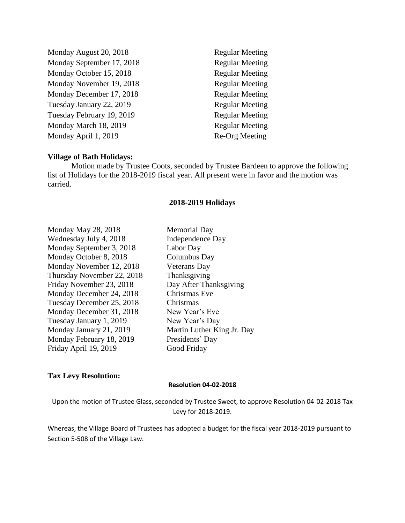Monday August 20, 2018 Regular Meeting Monday September 17, 2018 Regular Meeting Monday October 15, 2018 Regular Meeting Monday November 19, 2018 Regular Meeting Monday December 17, 2018 Regular Meeting Tuesday January 22, 2019 Regular Meeting Tuesday February 19, 2019 Regular Meeting Monday March 18, 2019 Regular Meeting Monday April 1, 2019 Re-Org Meeting

#### **Village of Bath Holidays:**

Motion made by Trustee Coots, seconded by Trustee Bardeen to approve the following list of Holidays for the 2018-2019 fiscal year. All present were in favor and the motion was carried.

#### **2018-2019 Holidays**

Monday May 28, 2018 Memorial Day Wednesday July 4, 2018 Independence Day Monday September 3, 2018 Labor Day Monday October 8, 2018 Columbus Day Monday November 12, 2018 Veterans Day Thursday November 22, 2018 Thanksgiving Friday November 23, 2018 Day After Thanksgiving Monday December 24, 2018 Christmas Eve Tuesday December 25, 2018 Christmas Monday December 31, 2018 New Year's Eve Tuesday January 1, 2019 New Year's Day Monday January 21, 2019 Martin Luther King Jr. Day Monday February 18, 2019 Presidents' Day Friday April 19, 2019 Good Friday

## **Tax Levy Resolution:**

#### **Resolution 04-02-2018**

Upon the motion of Trustee Glass, seconded by Trustee Sweet, to approve Resolution 04-02-2018 Tax Levy for 2018-2019.

Whereas, the Village Board of Trustees has adopted a budget for the fiscal year 2018-2019 pursuant to Section 5-508 of the Village Law.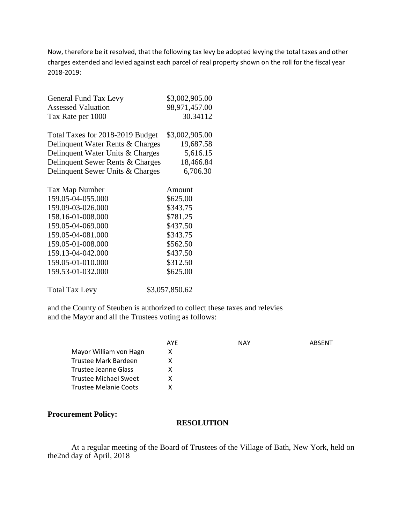Now, therefore be it resolved, that the following tax levy be adopted levying the total taxes and other charges extended and levied against each parcel of real property shown on the roll for the fiscal year 2018-2019:

| General Fund Tax Levy            | \$3,002,905.00 |
|----------------------------------|----------------|
| <b>Assessed Valuation</b>        | 98,971,457.00  |
| Tax Rate per 1000                | 30.34112       |
| Total Taxes for 2018-2019 Budget | \$3,002,905.00 |
| Delinquent Water Rents & Charges | 19,687.58      |
| Delinquent Water Units & Charges | 5,616.15       |
| Delinquent Sewer Rents & Charges | 18,466.84      |
| Delinquent Sewer Units & Charges | 6,706.30       |
| Tax Map Number                   | Amount         |
| 159.05-04-055.000                | \$625.00       |
| 159.09-03-026.000                | \$343.75       |
| 158.16-01-008.000                | \$781.25       |
| 159.05-04-069.000                | \$437.50       |
| 159.05-04-081.000                | \$343.75       |
| 159.05-01-008.000                | \$562.50       |
|                                  |                |

| 1.77.02.02.02.1 \Q.0.0.0.000 | 992J.V         |
|------------------------------|----------------|
| 159.09-03-026.000            | \$343.75       |
| 158.16-01-008.000            | \$781.25       |
| 159.05-04-069.000            | \$437.50       |
| 159.05-04-081.000            | \$343.75       |
| 159.05-01-008.000            | \$562.50       |
| 159.13-04-042.000            | \$437.50       |
| 159.05-01-010.000            | \$312.50       |
| 159.53-01-032.000            | \$625.00       |
| <b>Total Tax Levy</b>        | \$3,057,850.62 |
|                              |                |

and the County of Steuben is authorized to collect these taxes and relevies and the Mayor and all the Trustees voting as follows:

|                        | AYE | <b>NAY</b> | ABSENT |
|------------------------|-----|------------|--------|
| Mayor William von Hagn | х   |            |        |
| Trustee Mark Bardeen   |     |            |        |
| Trustee Jeanne Glass   | x   |            |        |
| Trustee Michael Sweet  | x   |            |        |
| Trustee Melanie Coots  |     |            |        |

## **Procurement Policy:**

## **RESOLUTION**

At a regular meeting of the Board of Trustees of the Village of Bath, New York, held on the2nd day of April, 2018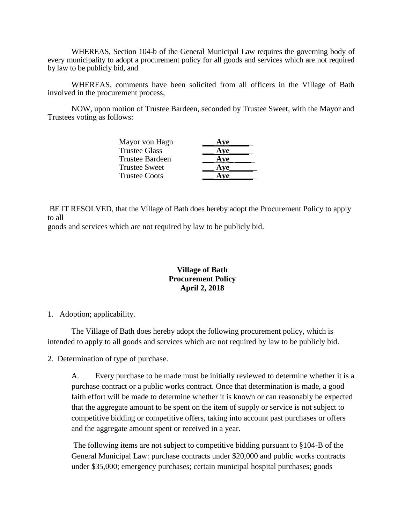WHEREAS, Section 104-b of the General Municipal Law requires the governing body of every municipality to adopt a procurement policy for all goods and services which are not required by law to be publicly bid, and

WHEREAS, comments have been solicited from all officers in the Village of Bath involved in the procurement process,

NOW, upon motion of Trustee Bardeen, seconded by Trustee Sweet, with the Mayor and Trustees voting as follows:

| Mayor von Hagn         | Ave |
|------------------------|-----|
| <b>Trustee Glass</b>   | Aye |
| <b>Trustee Bardeen</b> | Aye |
| <b>Trustee Sweet</b>   | Ave |
| <b>Trustee Coots</b>   | Ave |

BE IT RESOLVED, that the Village of Bath does hereby adopt the Procurement Policy to apply to all

goods and services which are not required by law to be publicly bid.

# **Village of Bath Procurement Policy April 2, 2018**

# 1. Adoption; applicability.

The Village of Bath does hereby adopt the following procurement policy, which is intended to apply to all goods and services which are not required by law to be publicly bid.

2. Determination of type of purchase.

A. Every purchase to be made must be initially reviewed to determine whether it is a purchase contract or a public works contract. Once that determination is made, a good faith effort will be made to determine whether it is known or can reasonably be expected that the aggregate amount to be spent on the item of supply or service is not subject to competitive bidding or competitive offers, taking into account past purchases or offers and the aggregate amount spent or received in a year.

The following items are not subject to competitive bidding pursuant to §104-B of the General Municipal Law: purchase contracts under \$20,000 and public works contracts under \$35,000; emergency purchases; certain municipal hospital purchases; goods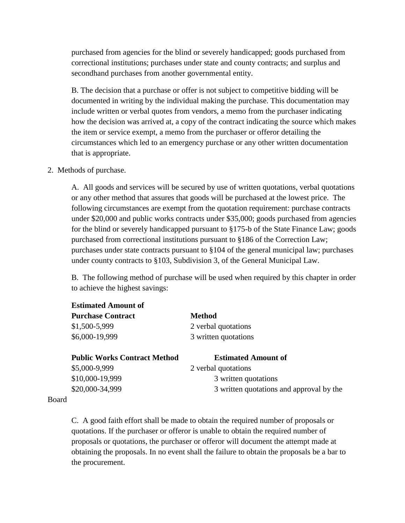purchased from agencies for the blind or severely handicapped; goods purchased from correctional institutions; purchases under state and county contracts; and surplus and secondhand purchases from another governmental entity.

B. The decision that a purchase or offer is not subject to competitive bidding will be documented in writing by the individual making the purchase. This documentation may include written or verbal quotes from vendors, a memo from the purchaser indicating how the decision was arrived at, a copy of the contract indicating the source which makes the item or service exempt, a memo from the purchaser or offeror detailing the circumstances which led to an emergency purchase or any other written documentation that is appropriate.

2. Methods of purchase.

A. All goods and services will be secured by use of written quotations, verbal quotations or any other method that assures that goods will be purchased at the lowest price. The following circumstances are exempt from the quotation requirement: purchase contracts under \$20,000 and public works contracts under \$35,000; goods purchased from agencies for the blind or severely handicapped pursuant to §175-b of the State Finance Law; goods purchased from correctional institutions pursuant to §186 of the Correction Law; purchases under state contracts pursuant to §104 of the general municipal law; purchases under county contracts to §103, Subdivision 3, of the General Municipal Law.

B. The following method of purchase will be used when required by this chapter in order to achieve the highest savings:

| <b>Estimated Amount of</b>          |                                          |
|-------------------------------------|------------------------------------------|
| <b>Purchase Contract</b>            | <b>Method</b>                            |
| \$1,500-5,999                       | 2 verbal quotations                      |
| \$6,000-19,999                      | 3 written quotations                     |
|                                     |                                          |
| <b>Public Works Contract Method</b> | <b>Estimated Amount of</b>               |
| \$5,000-9,999                       | 2 verbal quotations                      |
| \$10,000-19,999                     | 3 written quotations                     |
| \$20,000-34,999                     | 3 written quotations and approval by the |
|                                     |                                          |

#### Board

C. A good faith effort shall be made to obtain the required number of proposals or quotations. If the purchaser or offeror is unable to obtain the required number of proposals or quotations, the purchaser or offeror will document the attempt made at obtaining the proposals. In no event shall the failure to obtain the proposals be a bar to the procurement.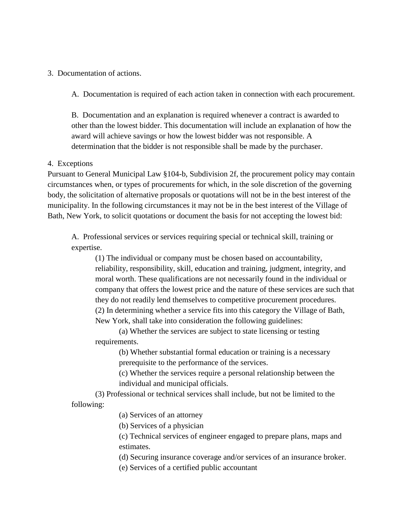3. Documentation of actions.

A. Documentation is required of each action taken in connection with each procurement.

B. Documentation and an explanation is required whenever a contract is awarded to other than the lowest bidder. This documentation will include an explanation of how the award will achieve savings or how the lowest bidder was not responsible. A determination that the bidder is not responsible shall be made by the purchaser.

### 4. Exceptions

Pursuant to General Municipal Law §104-b, Subdivision 2f, the procurement policy may contain circumstances when, or types of procurements for which, in the sole discretion of the governing body, the solicitation of alternative proposals or quotations will not be in the best interest of the municipality. In the following circumstances it may not be in the best interest of the Village of Bath, New York, to solicit quotations or document the basis for not accepting the lowest bid:

A. Professional services or services requiring special or technical skill, training or expertise.

(1) The individual or company must be chosen based on accountability, reliability, responsibility, skill, education and training, judgment, integrity, and moral worth. These qualifications are not necessarily found in the individual or company that offers the lowest price and the nature of these services are such that they do not readily lend themselves to competitive procurement procedures. (2) In determining whether a service fits into this category the Village of Bath, New York, shall take into consideration the following guidelines:

(a) Whether the services are subject to state licensing or testing requirements.

> (b) Whether substantial formal education or training is a necessary prerequisite to the performance of the services.

(c) Whether the services require a personal relationship between the individual and municipal officials.

(3) Professional or technical services shall include, but not be limited to the following:

(a) Services of an attorney

(b) Services of a physician

(c) Technical services of engineer engaged to prepare plans, maps and estimates.

(d) Securing insurance coverage and/or services of an insurance broker.

(e) Services of a certified public accountant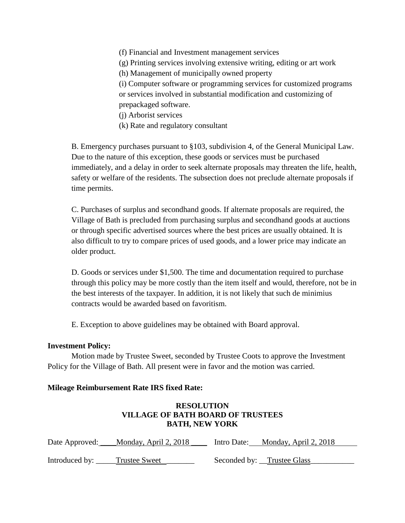(f) Financial and Investment management services

(g) Printing services involving extensive writing, editing or art work

(h) Management of municipally owned property

(i) Computer software or programming services for customized programs or services involved in substantial modification and customizing of prepackaged software.

(j) Arborist services

(k) Rate and regulatory consultant

B. Emergency purchases pursuant to §103, subdivision 4, of the General Municipal Law. Due to the nature of this exception, these goods or services must be purchased immediately, and a delay in order to seek alternate proposals may threaten the life, health, safety or welfare of the residents. The subsection does not preclude alternate proposals if time permits.

C. Purchases of surplus and secondhand goods. If alternate proposals are required, the Village of Bath is precluded from purchasing surplus and secondhand goods at auctions or through specific advertised sources where the best prices are usually obtained. It is also difficult to try to compare prices of used goods, and a lower price may indicate an older product.

D. Goods or services under \$1,500. The time and documentation required to purchase through this policy may be more costly than the item itself and would, therefore, not be in the best interests of the taxpayer. In addition, it is not likely that such de minimius contracts would be awarded based on favoritism.

E. Exception to above guidelines may be obtained with Board approval.

# **Investment Policy:**

Motion made by Trustee Sweet, seconded by Trustee Coots to approve the Investment Policy for the Village of Bath. All present were in favor and the motion was carried.

# **Mileage Reimbursement Rate IRS fixed Rate:**

# **RESOLUTION VILLAGE OF BATH BOARD OF TRUSTEES BATH, NEW YORK**

| Date Approved: | Monday, April 2, 2018 | Intro Date: | Monday, April 2, 2018      |
|----------------|-----------------------|-------------|----------------------------|
|                |                       |             |                            |
| Introduced by: | Trustee Sweet         |             | Seconded by: Trustee Glass |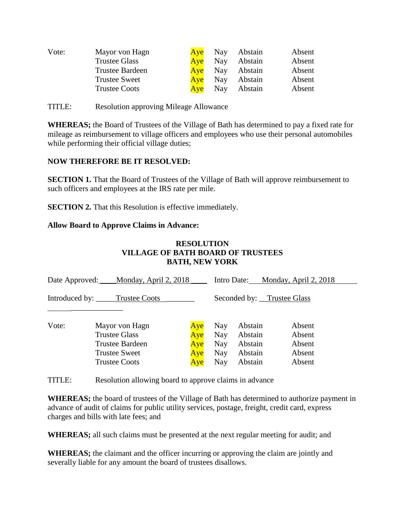| Vote: | Mayor von Hagn         | Aye | Nay | Abstain | Absent |
|-------|------------------------|-----|-----|---------|--------|
|       | <b>Trustee Glass</b>   | Ave | Nay | Abstain | Absent |
|       | <b>Trustee Bardeen</b> | Ave | Nay | Abstain | Absent |
|       | <b>Trustee Sweet</b>   | Aye | Nay | Abstain | Absent |
|       | <b>Trustee Coots</b>   | Ave | Nay | Abstain | Absent |

TITLE: Resolution approving Mileage Allowance

**WHEREAS;** the Board of Trustees of the Village of Bath has determined to pay a fixed rate for mileage as reimbursement to village officers and employees who use their personal automobiles while performing their official village duties;

# **NOW THEREFORE BE IT RESOLVED:**

**SECTION 1.** That the Board of Trustees of the Village of Bath will approve reimbursement to such officers and employees at the IRS rate per mile.

**SECTION 2.** That this Resolution is effective immediately.

# **Allow Board to Approve Claims in Advance:**

# **RESOLUTION VILLAGE OF BATH BOARD OF TRUSTEES BATH, NEW YORK**

| Date Approved: Monday, April 2, 2018 |                                                                                                           | Intro Date: Monday, April 2, 2018 |                                               |                                                     |                                                |  |
|--------------------------------------|-----------------------------------------------------------------------------------------------------------|-----------------------------------|-----------------------------------------------|-----------------------------------------------------|------------------------------------------------|--|
| Introduced by: _____Trustee Coots    |                                                                                                           | Seconded by: Trustee Glass        |                                               |                                                     |                                                |  |
| Vote:                                | Mayor von Hagn<br><b>Trustee Glass</b><br>Trustee Bardeen<br><b>Trustee Sweet</b><br><b>Trustee Coots</b> | Aye<br>Aye<br>Aye<br>Aye<br>Aye   | Nay<br><b>Nay</b><br>Nay<br>Nay<br><b>Nay</b> | Abstain<br>Abstain<br>Abstain<br>Abstain<br>Abstain | Absent<br>Absent<br>Absent<br>Absent<br>Absent |  |

TITLE: Resolution allowing board to approve claims in advance

**WHEREAS;** the board of trustees of the Village of Bath has determined to authorize payment in advance of audit of claims for public utility services, postage, freight, credit card, express charges and bills with late fees; and

**WHEREAS;** all such claims must be presented at the next regular meeting for audit; and

**WHEREAS;** the claimant and the officer incurring or approving the claim are jointly and severally liable for any amount the board of trustees disallows.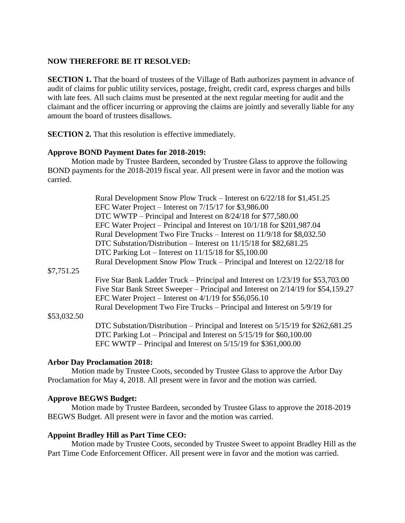# **NOW THEREFORE BE IT RESOLVED:**

**SECTION 1.** That the board of trustees of the Village of Bath authorizes payment in advance of audit of claims for public utility services, postage, freight, credit card, express charges and bills with late fees. All such claims must be presented at the next regular meeting for audit and the claimant and the officer incurring or approving the claims are jointly and severally liable for any amount the board of trustees disallows.

**SECTION 2.** That this resolution is effective immediately.

# **Approve BOND Payment Dates for 2018-2019:**

Motion made by Trustee Bardeen, seconded by Trustee Glass to approve the following BOND payments for the 2018-2019 fiscal year. All present were in favor and the motion was carried.

|             | Rural Development Snow Plow Truck – Interest on $6/22/18$ for \$1,451.25          |
|-------------|-----------------------------------------------------------------------------------|
|             | EFC Water Project – Interest on $7/15/17$ for \$3,986.00                          |
|             | DTC WWTP – Principal and Interest on 8/24/18 for \$77,580.00                      |
|             | EFC Water Project – Principal and Interest on $10/1/18$ for \$201,987.04          |
|             | Rural Development Two Fire Trucks – Interest on 11/9/18 for \$8,032.50            |
|             | DTC Substation/Distribution – Interest on 11/15/18 for \$82,681.25                |
|             | DTC Parking Lot – Interest on $11/15/18$ for \$5,100.00                           |
|             | Rural Development Snow Plow Truck – Principal and Interest on 12/22/18 for        |
| \$7,751.25  |                                                                                   |
|             | Five Star Bank Ladder Truck – Principal and Interest on 1/23/19 for \$53,703.00   |
|             | Five Star Bank Street Sweeper – Principal and Interest on 2/14/19 for \$54,159.27 |
|             | EFC Water Project – Interest on $4/1/19$ for \$56,056.10                          |
|             | Rural Development Two Fire Trucks – Principal and Interest on 5/9/19 for          |
| \$53,032.50 |                                                                                   |
|             | DTC Substation/Distribution – Principal and Interest on 5/15/19 for \$262,681.25  |
|             | DTC Parking Lot – Principal and Interest on 5/15/19 for \$60,100.00               |
|             | EFC WWTP – Principal and Interest on $5/15/19$ for \$361,000.00                   |
|             |                                                                                   |

# **Arbor Day Proclamation 2018:**

Motion made by Trustee Coots, seconded by Trustee Glass to approve the Arbor Day Proclamation for May 4, 2018. All present were in favor and the motion was carried.

# **Approve BEGWS Budget:**

Motion made by Trustee Bardeen, seconded by Trustee Glass to approve the 2018-2019 BEGWS Budget. All present were in favor and the motion was carried.

# **Appoint Bradley Hill as Part Time CEO:**

Motion made by Trustee Coots, seconded by Trustee Sweet to appoint Bradley Hill as the Part Time Code Enforcement Officer. All present were in favor and the motion was carried.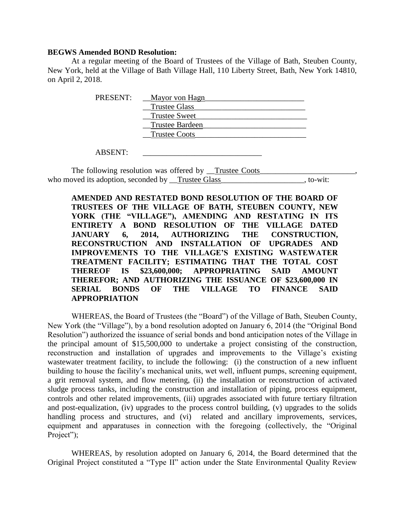#### **BEGWS Amended BOND Resolution:**

At a regular meeting of the Board of Trustees of the Village of Bath, Steuben County, New York, held at the Village of Bath Village Hall, 110 Liberty Street, Bath, New York 14810, on April 2, 2018.

| PRESENT: | Mayor von Hagn         |
|----------|------------------------|
|          | <b>Trustee Glass</b>   |
|          | <b>Trustee Sweet</b>   |
|          | <b>Trustee Bardeen</b> |
|          | <b>Trustee Coots</b>   |
|          |                        |

ABSENT:

The following resolution was offered by \_\_Trustee Coots\_ who moved its adoption, seconded by Trustee Glass states of the state of the state of the state of the state of the state of the state of the state of the state of the state of the state of the state of the state of the st

**AMENDED AND RESTATED BOND RESOLUTION OF THE BOARD OF TRUSTEES OF THE VILLAGE OF BATH, STEUBEN COUNTY, NEW YORK (THE "VILLAGE"), AMENDING AND RESTATING IN ITS ENTIRETY A BOND RESOLUTION OF THE VILLAGE DATED JANUARY 6, 2014, AUTHORIZING THE CONSTRUCTION, RECONSTRUCTION AND INSTALLATION OF UPGRADES AND IMPROVEMENTS TO THE VILLAGE'S EXISTING WASTEWATER TREATMENT FACILITY; ESTIMATING THAT THE TOTAL COST THEREOF IS \$23,600,000; APPROPRIATING SAID AMOUNT THEREFOR; AND AUTHORIZING THE ISSUANCE OF \$23,600,000 IN SERIAL BONDS OF THE VILLAGE TO FINANCE SAID APPROPRIATION**

WHEREAS, the Board of Trustees (the "Board") of the Village of Bath, Steuben County, New York (the "Village"), by a bond resolution adopted on January 6, 2014 (the "Original Bond Resolution") authorized the issuance of serial bonds and bond anticipation notes of the Village in the principal amount of \$15,500,000 to undertake a project consisting of the construction, reconstruction and installation of upgrades and improvements to the Village's existing wastewater treatment facility, to include the following: (i) the construction of a new influent building to house the facility's mechanical units, wet well, influent pumps, screening equipment, a grit removal system, and flow metering, (ii) the installation or reconstruction of activated sludge process tanks, including the construction and installation of piping, process equipment, controls and other related improvements, (iii) upgrades associated with future tertiary filtration and post-equalization, (iv) upgrades to the process control building, (v) upgrades to the solids handling process and structures, and (vi) related and ancillary improvements, services, equipment and apparatuses in connection with the foregoing (collectively, the "Original Project");

WHEREAS, by resolution adopted on January 6, 2014, the Board determined that the Original Project constituted a "Type II" action under the State Environmental Quality Review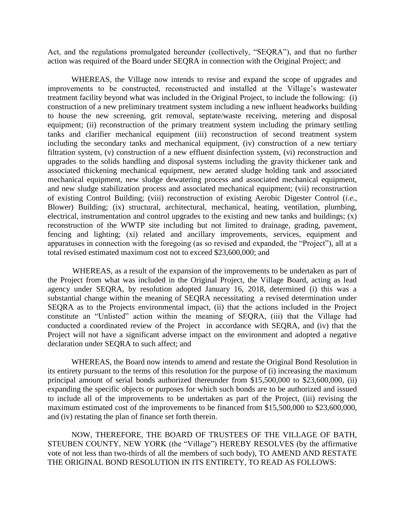Act, and the regulations promulgated hereunder (collectively, "SEQRA"), and that no further action was required of the Board under SEQRA in connection with the Original Project; and

WHEREAS, the Village now intends to revise and expand the scope of upgrades and improvements to be constructed, reconstructed and installed at the Village's wastewater treatment facility beyond what was included in the Original Project, to include the following: (i) construction of a new preliminary treatment system including a new influent headworks building to house the new screening, grit removal, septate/waste receiving, metering and disposal equipment; (ii) reconstruction of the primary treatment system including the primary settling tanks and clarifier mechanical equipment (iii) reconstruction of second treatment system including the secondary tanks and mechanical equipment, (iv) construction of a new tertiary filtration system, (v) construction of a new effluent disinfection system, (vi) reconstruction and upgrades to the solids handling and disposal systems including the gravity thickener tank and associated thickening mechanical equipment, new aerated sludge holding tank and associated mechanical equipment, new sludge dewatering process and associated mechanical equipment, and new sludge stabilization process and associated mechanical equipment; (vii) reconstruction of existing Control Building; (viii) reconstruction of existing Aerobic Digester Control (*i.e.*, Blower) Building; (ix) structural, architectural, mechanical, heating, ventilation, plumbing, electrical, instrumentation and control upgrades to the existing and new tanks and buildings; (x) reconstruction of the WWTP site including but not limited to drainage, grading, pavement, fencing and lighting; (xi) related and ancillary improvements, services, equipment and apparatuses in connection with the foregoing (as so revised and expanded, the "Project"), all at a total revised estimated maximum cost not to exceed \$23,600,000; and

WHEREAS, as a result of the expansion of the improvements to be undertaken as part of the Project from what was included in the Original Project, the Village Board, acting as lead agency under SEQRA, by resolution adopted January 16, 2018, determined (i) this was a substantial change within the meaning of SEQRA necessitating a revised determination under SEQRA as to the Projects environmental impact, (ii) that the actions included in the Project constitute an "Unlisted" action within the meaning of SEQRA, (iii) that the Village had conducted a coordinated review of the Project in accordance with SEQRA, and (iv) that the Project will not have a significant adverse impact on the environment and adopted a negative declaration under SEQRA to such affect; and

WHEREAS, the Board now intends to amend and restate the Original Bond Resolution in its entirety pursuant to the terms of this resolution for the purpose of (i) increasing the maximum principal amount of serial bonds authorized thereunder from \$15,500,000 to \$23,600,000, (ii) expanding the specific objects or purposes for which such bonds are to be authorized and issued to include all of the improvements to be undertaken as part of the Project, (iii) revising the maximum estimated cost of the improvements to be financed from \$15,500,000 to \$23,600,000, and (iv) restating the plan of finance set forth therein.

NOW, THEREFORE, THE BOARD OF TRUSTEES OF THE VILLAGE OF BATH, STEUBEN COUNTY, NEW YORK (the "Village") HEREBY RESOLVES (by the affirmative vote of not less than two-thirds of all the members of such body), TO AMEND AND RESTATE THE ORIGINAL BOND RESOLUTION IN ITS ENTIRETY, TO READ AS FOLLOWS: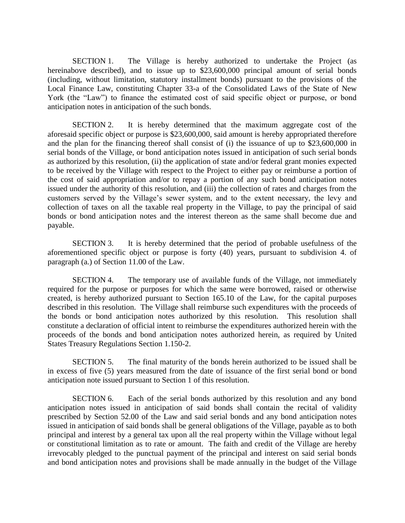SECTION 1. The Village is hereby authorized to undertake the Project (as hereinabove described), and to issue up to \$23,600,000 principal amount of serial bonds (including, without limitation, statutory installment bonds) pursuant to the provisions of the Local Finance Law, constituting Chapter 33-a of the Consolidated Laws of the State of New York (the "Law") to finance the estimated cost of said specific object or purpose, or bond anticipation notes in anticipation of the such bonds.

SECTION 2. It is hereby determined that the maximum aggregate cost of the aforesaid specific object or purpose is \$23,600,000, said amount is hereby appropriated therefore and the plan for the financing thereof shall consist of (i) the issuance of up to \$23,600,000 in serial bonds of the Village, or bond anticipation notes issued in anticipation of such serial bonds as authorized by this resolution, (ii) the application of state and/or federal grant monies expected to be received by the Village with respect to the Project to either pay or reimburse a portion of the cost of said appropriation and/or to repay a portion of any such bond anticipation notes issued under the authority of this resolution, and (iii) the collection of rates and charges from the customers served by the Village's sewer system, and to the extent necessary, the levy and collection of taxes on all the taxable real property in the Village, to pay the principal of said bonds or bond anticipation notes and the interest thereon as the same shall become due and payable.

SECTION 3. It is hereby determined that the period of probable usefulness of the aforementioned specific object or purpose is forty (40) years, pursuant to subdivision 4. of paragraph (a.) of Section 11.00 of the Law.

SECTION 4. The temporary use of available funds of the Village, not immediately required for the purpose or purposes for which the same were borrowed, raised or otherwise created, is hereby authorized pursuant to Section 165.10 of the Law, for the capital purposes described in this resolution. The Village shall reimburse such expenditures with the proceeds of the bonds or bond anticipation notes authorized by this resolution. This resolution shall constitute a declaration of official intent to reimburse the expenditures authorized herein with the proceeds of the bonds and bond anticipation notes authorized herein, as required by United States Treasury Regulations Section 1.150-2.

SECTION 5. The final maturity of the bonds herein authorized to be issued shall be in excess of five (5) years measured from the date of issuance of the first serial bond or bond anticipation note issued pursuant to Section 1 of this resolution.

SECTION 6. Each of the serial bonds authorized by this resolution and any bond anticipation notes issued in anticipation of said bonds shall contain the recital of validity prescribed by Section 52.00 of the Law and said serial bonds and any bond anticipation notes issued in anticipation of said bonds shall be general obligations of the Village, payable as to both principal and interest by a general tax upon all the real property within the Village without legal or constitutional limitation as to rate or amount. The faith and credit of the Village are hereby irrevocably pledged to the punctual payment of the principal and interest on said serial bonds and bond anticipation notes and provisions shall be made annually in the budget of the Village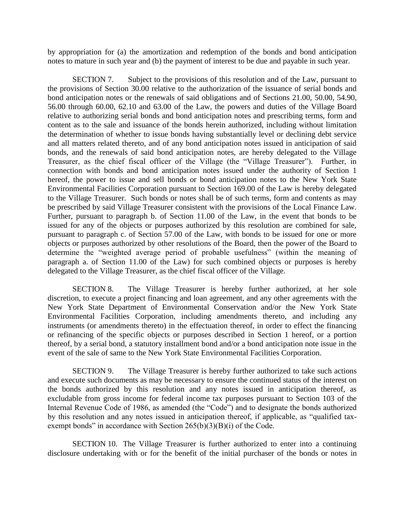by appropriation for (a) the amortization and redemption of the bonds and bond anticipation notes to mature in such year and (b) the payment of interest to be due and payable in such year.

SECTION 7. Subject to the provisions of this resolution and of the Law, pursuant to the provisions of Section 30.00 relative to the authorization of the issuance of serial bonds and bond anticipation notes or the renewals of said obligations and of Sections 21.00, 50.00, 54.90, 56.00 through 60.00, 62.10 and 63.00 of the Law, the powers and duties of the Village Board relative to authorizing serial bonds and bond anticipation notes and prescribing terms, form and content as to the sale and issuance of the bonds herein authorized, including without limitation the determination of whether to issue bonds having substantially level or declining debt service and all matters related thereto, and of any bond anticipation notes issued in anticipation of said bonds, and the renewals of said bond anticipation notes, are hereby delegated to the Village Treasurer, as the chief fiscal officer of the Village (the "Village Treasurer"). Further, in connection with bonds and bond anticipation notes issued under the authority of Section 1 hereof, the power to issue and sell bonds or bond anticipation notes to the New York State Environmental Facilities Corporation pursuant to Section 169.00 of the Law is hereby delegated to the Village Treasurer. Such bonds or notes shall be of such terms, form and contents as may be prescribed by said Village Treasurer consistent with the provisions of the Local Finance Law. Further, pursuant to paragraph b. of Section 11.00 of the Law, in the event that bonds to be issued for any of the objects or purposes authorized by this resolution are combined for sale, pursuant to paragraph c. of Section 57.00 of the Law, with bonds to be issued for one or more objects or purposes authorized by other resolutions of the Board, then the power of the Board to determine the "weighted average period of probable usefulness" (within the meaning of paragraph a. of Section 11.00 of the Law) for such combined objects or purposes is hereby delegated to the Village Treasurer, as the chief fiscal officer of the Village.

SECTION 8. The Village Treasurer is hereby further authorized, at her sole discretion, to execute a project financing and loan agreement, and any other agreements with the New York State Department of Environmental Conservation and/or the New York State Environmental Facilities Corporation, including amendments thereto, and including any instruments (or amendments thereto) in the effectuation thereof, in order to effect the financing or refinancing of the specific objects or purposes described in Section 1 hereof, or a portion thereof, by a serial bond, a statutory installment bond and/or a bond anticipation note issue in the event of the sale of same to the New York State Environmental Facilities Corporation.

SECTION 9. The Village Treasurer is hereby further authorized to take such actions and execute such documents as may be necessary to ensure the continued status of the interest on the bonds authorized by this resolution and any notes issued in anticipation thereof, as excludable from gross income for federal income tax purposes pursuant to Section 103 of the Internal Revenue Code of 1986, as amended (the "Code") and to designate the bonds authorized by this resolution and any notes issued in anticipation thereof, if applicable, as "qualified taxexempt bonds" in accordance with Section 265(b)(3)(B)(i) of the Code.

SECTION 10. The Village Treasurer is further authorized to enter into a continuing disclosure undertaking with or for the benefit of the initial purchaser of the bonds or notes in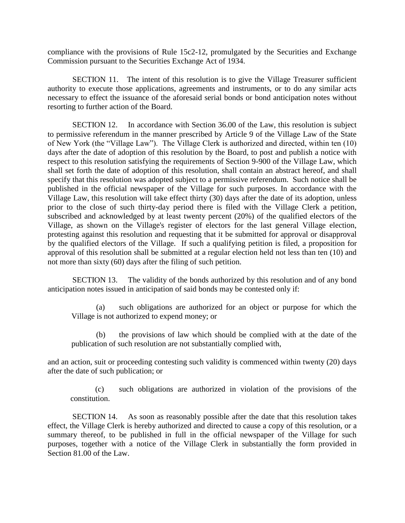compliance with the provisions of Rule 15c2-12, promulgated by the Securities and Exchange Commission pursuant to the Securities Exchange Act of 1934.

SECTION 11. The intent of this resolution is to give the Village Treasurer sufficient authority to execute those applications, agreements and instruments, or to do any similar acts necessary to effect the issuance of the aforesaid serial bonds or bond anticipation notes without resorting to further action of the Board.

SECTION 12. In accordance with Section 36.00 of the Law, this resolution is subject to permissive referendum in the manner prescribed by Article 9 of the Village Law of the State of New York (the "Village Law"). The Village Clerk is authorized and directed, within ten (10) days after the date of adoption of this resolution by the Board, to post and publish a notice with respect to this resolution satisfying the requirements of Section 9-900 of the Village Law, which shall set forth the date of adoption of this resolution, shall contain an abstract hereof, and shall specify that this resolution was adopted subject to a permissive referendum. Such notice shall be published in the official newspaper of the Village for such purposes. In accordance with the Village Law, this resolution will take effect thirty (30) days after the date of its adoption, unless prior to the close of such thirty-day period there is filed with the Village Clerk a petition, subscribed and acknowledged by at least twenty percent (20%) of the qualified electors of the Village, as shown on the Village's register of electors for the last general Village election, protesting against this resolution and requesting that it be submitted for approval or disapproval by the qualified electors of the Village. If such a qualifying petition is filed, a proposition for approval of this resolution shall be submitted at a regular election held not less than ten (10) and not more than sixty (60) days after the filing of such petition.

SECTION 13. The validity of the bonds authorized by this resolution and of any bond anticipation notes issued in anticipation of said bonds may be contested only if:

(a) such obligations are authorized for an object or purpose for which the Village is not authorized to expend money; or

(b) the provisions of law which should be complied with at the date of the publication of such resolution are not substantially complied with,

and an action, suit or proceeding contesting such validity is commenced within twenty (20) days after the date of such publication; or

(c) such obligations are authorized in violation of the provisions of the constitution.

SECTION 14. As soon as reasonably possible after the date that this resolution takes effect, the Village Clerk is hereby authorized and directed to cause a copy of this resolution, or a summary thereof, to be published in full in the official newspaper of the Village for such purposes, together with a notice of the Village Clerk in substantially the form provided in Section 81.00 of the Law.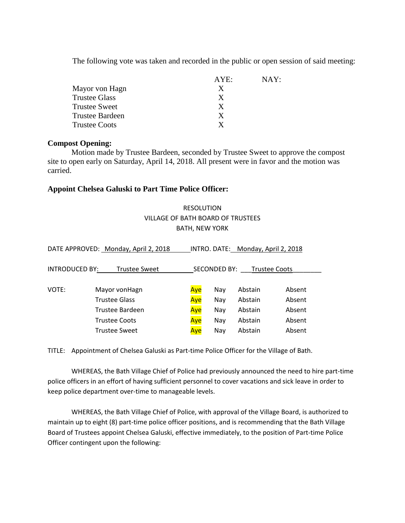The following vote was taken and recorded in the public or open session of said meeting:

|                        | AYE: | NAY: |
|------------------------|------|------|
| Mayor von Hagn         | X    |      |
| <b>Trustee Glass</b>   | X    |      |
| <b>Trustee Sweet</b>   | X    |      |
| <b>Trustee Bardeen</b> | X    |      |
| <b>Trustee Coots</b>   | X    |      |

## **Compost Opening:**

Motion made by Trustee Bardeen, seconded by Trustee Sweet to approve the compost site to open early on Saturday, April 14, 2018. All present were in favor and the motion was carried.

# **Appoint Chelsea Galuski to Part Time Police Officer:**

# RESOLUTION VILLAGE OF BATH BOARD OF TRUSTEES BATH, NEW YORK

| DATE APPROVED: Monday, April 2, 2018          |                      | INTRO. DATE: Monday, April 2, 2018 |     |         |        |  |
|-----------------------------------------------|----------------------|------------------------------------|-----|---------|--------|--|
| <b>INTRODUCED BY:</b><br><b>Trustee Sweet</b> |                      | SECONDED BY:<br>Trustee Coots      |     |         |        |  |
| VOTE:                                         | Mayor vonHagn        | Aye                                | Nav | Abstain | Absent |  |
|                                               | <b>Trustee Glass</b> | Aye                                | Nav | Abstain | Absent |  |
|                                               | Trustee Bardeen      | Aye                                | Nay | Abstain | Absent |  |
|                                               | <b>Trustee Coots</b> | Aye                                | Nay | Abstain | Absent |  |
|                                               | <b>Trustee Sweet</b> | Aye                                | Nay | Abstain | Absent |  |

TITLE: Appointment of Chelsea Galuski as Part-time Police Officer for the Village of Bath.

WHEREAS, the Bath Village Chief of Police had previously announced the need to hire part-time police officers in an effort of having sufficient personnel to cover vacations and sick leave in order to keep police department over-time to manageable levels.

WHEREAS, the Bath Village Chief of Police, with approval of the Village Board, is authorized to maintain up to eight (8) part-time police officer positions, and is recommending that the Bath Village Board of Trustees appoint Chelsea Galuski, effective immediately, to the position of Part-time Police Officer contingent upon the following: